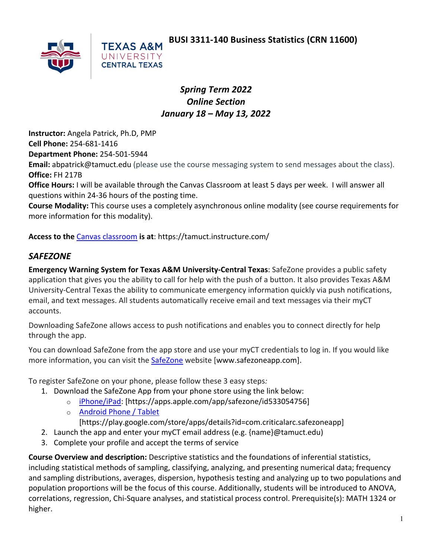**BUSI 3311-140 Business Statistics (CRN 11600)**



**TEXAS A&M** UNIVERSITY **CENTRAL TEXAS** 

### *Spring Term 2022 Online Section January 18 – May 13, 2022*

**Instructor:** Angela Patrick, Ph.D, PMP **Cell Phone:** 254-681-1416 **Department Phone:** 254-501-5944 **Email:** abpatrick@tamuct.edu (please use the course messaging system to send messages about the class). **Office:** FH 217B

**Office Hours:** I will be available through the Canvas Classroom at least 5 days per week. I will answer all questions within 24-36 hours of the posting time.

**Course Modality:** This course uses a completely asynchronous online modality (see course requirements for more information for this modality).

**Access to the** Canvas classroom **is at**: https://tamuct.instructure.com/

### *SAFEZONE*

**Emergency Warning System for Texas A&M University-Central Texas**: SafeZone provides a public safety application that gives you the ability to call for help with the push of a button. It also provides Texas A&M University-Central Texas the ability to communicate emergency information quickly via push notifications, email, and text messages. All students automatically receive email and text messages via their myCT accounts.

Downloading SafeZone allows access to push notifications and enables you to connect directly for help through the app.

You can download SafeZone from the app store and use your myCT credentials to log in. If you would like more information, you can visit the SafeZone website [www.safezoneapp.com].

To register SafeZone on your phone, please follow these 3 easy steps*:*

- 1. Download the SafeZone App from your phone store using the link below:
	- o iPhone/iPad: [https://apps.apple.com/app/safezone/id533054756]
	- o Android Phone / Tablet

[https://play.google.com/store/apps/details?id=com.criticalarc.safezoneapp]

- 2. Launch the app and enter your myCT email address (e.g. {name}@tamuct.edu)
- 3. Complete your profile and accept the terms of service

**Course Overview and description:** Descriptive statistics and the foundations of inferential statistics, including statistical methods of sampling, classifying, analyzing, and presenting numerical data; frequency and sampling distributions, averages, dispersion, hypothesis testing and analyzing up to two populations and population proportions will be the focus of this course. Additionally, students will be introduced to ANOVA, correlations, regression, Chi-Square analyses, and statistical process control. Prerequisite(s): MATH 1324 or higher.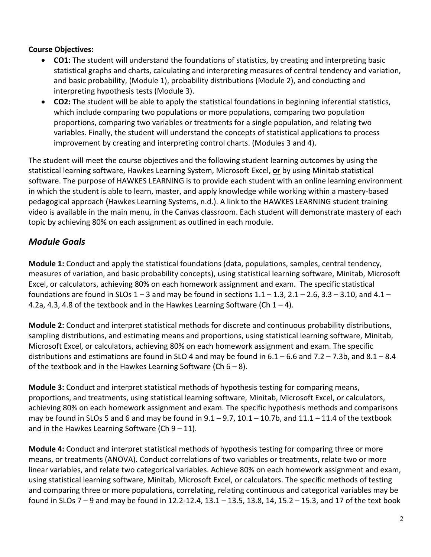#### **Course Objectives:**

- **CO1:** The student will understand the foundations of statistics, by creating and interpreting basic statistical graphs and charts, calculating and interpreting measures of central tendency and variation, and basic probability, (Module 1), probability distributions (Module 2), and conducting and interpreting hypothesis tests (Module 3).
- **CO2:** The student will be able to apply the statistical foundations in beginning inferential statistics, which include comparing two populations or more populations, comparing two population proportions, comparing two variables or treatments for a single population, and relating two variables. Finally, the student will understand the concepts of statistical applications to process improvement by creating and interpreting control charts. (Modules 3 and 4).

The student will meet the course objectives and the following student learning outcomes by using the statistical learning software, Hawkes Learning System, Microsoft Excel, **or** by using Minitab statistical software. The purpose of HAWKES LEARNING is to provide each student with an online learning environment in which the student is able to learn, master, and apply knowledge while working within a mastery-based pedagogical approach (Hawkes Learning Systems, n.d.). A link to the HAWKES LEARNING student training video is available in the main menu, in the Canvas classroom. Each student will demonstrate mastery of each topic by achieving 80% on each assignment as outlined in each module.

## *Module Goals*

**Module 1:** Conduct and apply the statistical foundations (data, populations, samples, central tendency, measures of variation, and basic probability concepts), using statistical learning software, Minitab, Microsoft Excel, or calculators, achieving 80% on each homework assignment and exam. The specific statistical foundations are found in SLOs  $1 - 3$  and may be found in sections  $1.1 - 1.3$ ,  $2.1 - 2.6$ ,  $3.3 - 3.10$ , and  $4.1 -$ 4.2a, 4.3, 4.8 of the textbook and in the Hawkes Learning Software (Ch  $1 - 4$ ).

**Module 2:** Conduct and interpret statistical methods for discrete and continuous probability distributions, sampling distributions, and estimating means and proportions, using statistical learning software, Minitab, Microsoft Excel, or calculators, achieving 80% on each homework assignment and exam. The specific distributions and estimations are found in SLO 4 and may be found in  $6.1 - 6.6$  and  $7.2 - 7.3$ b, and  $8.1 - 8.4$ of the textbook and in the Hawkes Learning Software (Ch  $6 - 8$ ).

**Module 3:** Conduct and interpret statistical methods of hypothesis testing for comparing means, proportions, and treatments, using statistical learning software, Minitab, Microsoft Excel, or calculators, achieving 80% on each homework assignment and exam. The specific hypothesis methods and comparisons may be found in SLOs 5 and 6 and may be found in  $9.1 - 9.7$ ,  $10.1 - 10.7$ b, and  $11.1 - 11.4$  of the textbook and in the Hawkes Learning Software (Ch  $9 - 11$ ).

**Module 4:** Conduct and interpret statistical methods of hypothesis testing for comparing three or more means, or treatments (ANOVA). Conduct correlations of two variables or treatments, relate two or more linear variables, and relate two categorical variables. Achieve 80% on each homework assignment and exam, using statistical learning software, Minitab, Microsoft Excel, or calculators. The specific methods of testing and comparing three or more populations, correlating, relating continuous and categorical variables may be found in SLOs 7 – 9 and may be found in 12.2-12.4, 13.1 – 13.5, 13.8, 14, 15.2 – 15.3, and 17 of the text book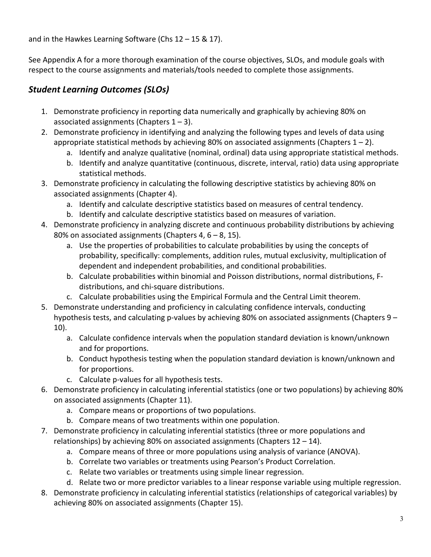and in the Hawkes Learning Software (Chs 12 – 15 & 17).

See Appendix A for a more thorough examination of the course objectives, SLOs, and module goals with respect to the course assignments and materials/tools needed to complete those assignments.

# *Student Learning Outcomes (SLOs)*

- 1. Demonstrate proficiency in reporting data numerically and graphically by achieving 80% on associated assignments (Chapters  $1 - 3$ ).
- 2. Demonstrate proficiency in identifying and analyzing the following types and levels of data using appropriate statistical methods by achieving 80% on associated assignments (Chapters  $1 - 2$ ).
	- a. Identify and analyze qualitative (nominal, ordinal) data using appropriate statistical methods.
	- b. Identify and analyze quantitative (continuous, discrete, interval, ratio) data using appropriate statistical methods.
- 3. Demonstrate proficiency in calculating the following descriptive statistics by achieving 80% on associated assignments (Chapter 4).
	- a. Identify and calculate descriptive statistics based on measures of central tendency.
	- b. Identify and calculate descriptive statistics based on measures of variation.
- 4. Demonstrate proficiency in analyzing discrete and continuous probability distributions by achieving 80% on associated assignments (Chapters 4,  $6 - 8$ , 15).
	- a. Use the properties of probabilities to calculate probabilities by using the concepts of probability, specifically: complements, addition rules, mutual exclusivity, multiplication of dependent and independent probabilities, and conditional probabilities.
	- b. Calculate probabilities within binomial and Poisson distributions, normal distributions, Fdistributions, and chi-square distributions.
	- c. Calculate probabilities using the Empirical Formula and the Central Limit theorem.
- 5. Demonstrate understanding and proficiency in calculating confidence intervals, conducting hypothesis tests, and calculating p-values by achieving 80% on associated assignments (Chapters 9 – 10).
	- a. Calculate confidence intervals when the population standard deviation is known/unknown and for proportions.
	- b. Conduct hypothesis testing when the population standard deviation is known/unknown and for proportions.
	- c. Calculate p-values for all hypothesis tests.
- 6. Demonstrate proficiency in calculating inferential statistics (one or two populations) by achieving 80% on associated assignments (Chapter 11).
	- a. Compare means or proportions of two populations.
	- b. Compare means of two treatments within one population.
- 7. Demonstrate proficiency in calculating inferential statistics (three or more populations and relationships) by achieving 80% on associated assignments (Chapters  $12 - 14$ ).
	- a. Compare means of three or more populations using analysis of variance (ANOVA).
	- b. Correlate two variables or treatments using Pearson's Product Correlation.
	- c. Relate two variables or treatments using simple linear regression.
	- d. Relate two or more predictor variables to a linear response variable using multiple regression.
- 8. Demonstrate proficiency in calculating inferential statistics (relationships of categorical variables) by achieving 80% on associated assignments (Chapter 15).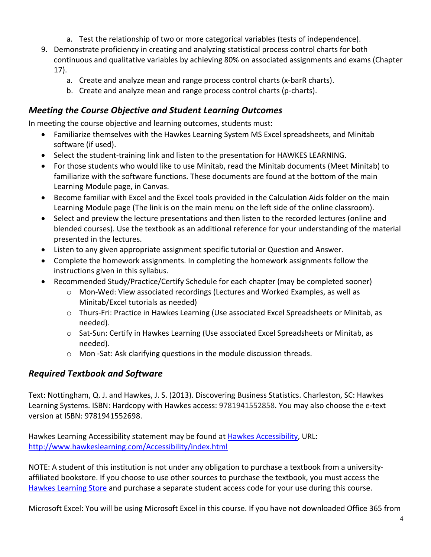- a. Test the relationship of two or more categorical variables (tests of independence).
- 9. Demonstrate proficiency in creating and analyzing statistical process control charts for both continuous and qualitative variables by achieving 80% on associated assignments and exams (Chapter 17).
	- a. Create and analyze mean and range process control charts (x-barR charts).
	- b. Create and analyze mean and range process control charts (p-charts).

#### *Meeting the Course Objective and Student Learning Outcomes*

In meeting the course objective and learning outcomes, students must:

- Familiarize themselves with the Hawkes Learning System MS Excel spreadsheets, and Minitab software (if used).
- Select the student-training link and listen to the presentation for HAWKES LEARNING.
- For those students who would like to use Minitab, read the Minitab documents (Meet Minitab) to familiarize with the software functions. These documents are found at the bottom of the main Learning Module page, in Canvas.
- Become familiar with Excel and the Excel tools provided in the Calculation Aids folder on the main Learning Module page (The link is on the main menu on the left side of the online classroom).
- Select and preview the lecture presentations and then listen to the recorded lectures (online and blended courses). Use the textbook as an additional reference for your understanding of the material presented in the lectures.
- Listen to any given appropriate assignment specific tutorial or Question and Answer.
- Complete the homework assignments. In completing the homework assignments follow the instructions given in this syllabus.
- Recommended Study/Practice/Certify Schedule for each chapter (may be completed sooner)
	- o Mon-Wed: View associated recordings (Lectures and Worked Examples, as well as Minitab/Excel tutorials as needed)
	- o Thurs-Fri: Practice in Hawkes Learning (Use associated Excel Spreadsheets or Minitab, as needed).
	- o Sat-Sun: Certify in Hawkes Learning (Use associated Excel Spreadsheets or Minitab, as needed).
	- o Mon -Sat: Ask clarifying questions in the module discussion threads.

#### *Required Textbook and Software*

Text: Nottingham, Q. J. and Hawkes, J. S. (2013). Discovering Business Statistics. Charleston, SC: Hawkes Learning Systems. ISBN: Hardcopy with Hawkes access: 9781941552858. You may also choose the e-text version at ISBN: 9781941552698.

Hawkes Learning Accessibility statement may be found at Hawkes Accessibility, URL: http://www.hawkeslearning.com/Accessibility/index.html

NOTE: A student of this institution is not under any obligation to purchase a textbook from a universityaffiliated bookstore. If you choose to use other sources to purchase the textbook, you must access the Hawkes Learning Store and purchase a separate student access code for your use during this course.

Microsoft Excel: You will be using Microsoft Excel in this course. If you have not downloaded Office 365 from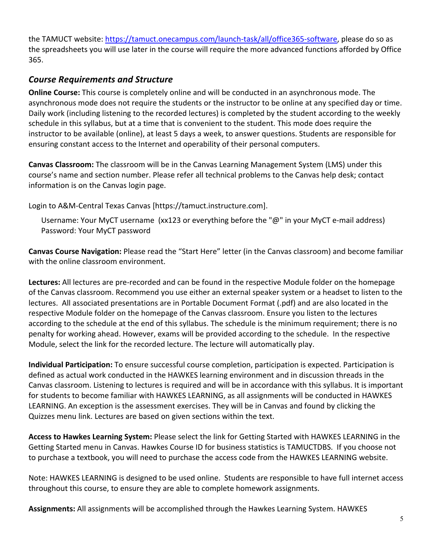the TAMUCT website: https://tamuct.onecampus.com/launch-task/all/office365-software, please do so as the spreadsheets you will use later in the course will require the more advanced functions afforded by Office 365.

#### *Course Requirements and Structure*

**Online Course:** This course is completely online and will be conducted in an asynchronous mode. The asynchronous mode does not require the students or the instructor to be online at any specified day or time. Daily work (including listening to the recorded lectures) is completed by the student according to the weekly schedule in this syllabus, but at a time that is convenient to the student. This mode does require the instructor to be available (online), at least 5 days a week, to answer questions. Students are responsible for ensuring constant access to the Internet and operability of their personal computers.

**Canvas Classroom:** The classroom will be in the Canvas Learning Management System (LMS) under this course's name and section number. Please refer all technical problems to the Canvas help desk; contact information is on the Canvas login page.

Login to A&M-Central Texas Canvas [https://tamuct.instructure.com].

Username: Your MyCT username (xx123 or everything before the "@" in your MyCT e-mail address) Password: Your MyCT password

**Canvas Course Navigation:** Please read the "Start Here" letter (in the Canvas classroom) and become familiar with the online classroom environment.

**Lectures:** All lectures are pre-recorded and can be found in the respective Module folder on the homepage of the Canvas classroom. Recommend you use either an external speaker system or a headset to listen to the lectures. All associated presentations are in Portable Document Format (.pdf) and are also located in the respective Module folder on the homepage of the Canvas classroom. Ensure you listen to the lectures according to the schedule at the end of this syllabus. The schedule is the minimum requirement; there is no penalty for working ahead. However, exams will be provided according to the schedule. In the respective Module, select the link for the recorded lecture. The lecture will automatically play.

**Individual Participation:** To ensure successful course completion, participation is expected. Participation is defined as actual work conducted in the HAWKES learning environment and in discussion threads in the Canvas classroom. Listening to lectures is required and will be in accordance with this syllabus. It is important for students to become familiar with HAWKES LEARNING, as all assignments will be conducted in HAWKES LEARNING. An exception is the assessment exercises. They will be in Canvas and found by clicking the Quizzes menu link. Lectures are based on given sections within the text.

**Access to Hawkes Learning System:** Please select the link for Getting Started with HAWKES LEARNING in the Getting Started menu in Canvas. Hawkes Course ID for business statistics is TAMUCTDBS. If you choose not to purchase a textbook, you will need to purchase the access code from the HAWKES LEARNING website.

Note: HAWKES LEARNING is designed to be used online. Students are responsible to have full internet access throughout this course, to ensure they are able to complete homework assignments.

**Assignments:** All assignments will be accomplished through the Hawkes Learning System. HAWKES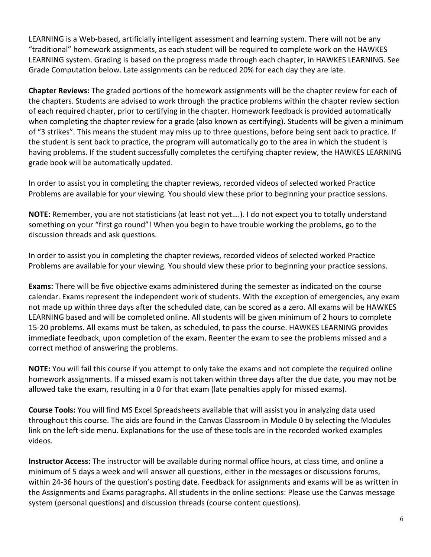LEARNING is a Web-based, artificially intelligent assessment and learning system. There will not be any "traditional" homework assignments, as each student will be required to complete work on the HAWKES LEARNING system. Grading is based on the progress made through each chapter, in HAWKES LEARNING. See Grade Computation below. Late assignments can be reduced 20% for each day they are late.

**Chapter Reviews:** The graded portions of the homework assignments will be the chapter review for each of the chapters. Students are advised to work through the practice problems within the chapter review section of each required chapter, prior to certifying in the chapter. Homework feedback is provided automatically when completing the chapter review for a grade (also known as certifying). Students will be given a minimum of "3 strikes". This means the student may miss up to three questions, before being sent back to practice. If the student is sent back to practice, the program will automatically go to the area in which the student is having problems. If the student successfully completes the certifying chapter review, the HAWKES LEARNING grade book will be automatically updated.

In order to assist you in completing the chapter reviews, recorded videos of selected worked Practice Problems are available for your viewing. You should view these prior to beginning your practice sessions.

**NOTE:** Remember, you are not statisticians (at least not yet….). I do not expect you to totally understand something on your "first go round"! When you begin to have trouble working the problems, go to the discussion threads and ask questions.

In order to assist you in completing the chapter reviews, recorded videos of selected worked Practice Problems are available for your viewing. You should view these prior to beginning your practice sessions.

**Exams:** There will be five objective exams administered during the semester as indicated on the course calendar. Exams represent the independent work of students. With the exception of emergencies, any exam not made up within three days after the scheduled date, can be scored as a zero. All exams will be HAWKES LEARNING based and will be completed online. All students will be given minimum of 2 hours to complete 15-20 problems. All exams must be taken, as scheduled, to pass the course. HAWKES LEARNING provides immediate feedback, upon completion of the exam. Reenter the exam to see the problems missed and a correct method of answering the problems.

**NOTE:** You will fail this course if you attempt to only take the exams and not complete the required online homework assignments. If a missed exam is not taken within three days after the due date, you may not be allowed take the exam, resulting in a 0 for that exam (late penalties apply for missed exams).

**Course Tools:** You will find MS Excel Spreadsheets available that will assist you in analyzing data used throughout this course. The aids are found in the Canvas Classroom in Module 0 by selecting the Modules link on the left-side menu. Explanations for the use of these tools are in the recorded worked examples videos.

**Instructor Access:** The instructor will be available during normal office hours, at class time, and online a minimum of 5 days a week and will answer all questions, either in the messages or discussions forums, within 24-36 hours of the question's posting date. Feedback for assignments and exams will be as written in the Assignments and Exams paragraphs. All students in the online sections: Please use the Canvas message system (personal questions) and discussion threads (course content questions).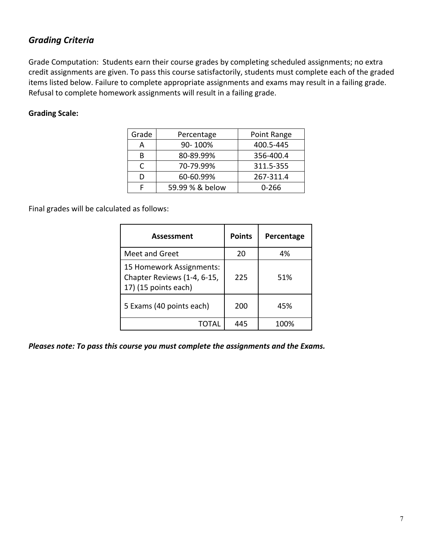#### *Grading Criteria*

Grade Computation: Students earn their course grades by completing scheduled assignments; no extra credit assignments are given. To pass this course satisfactorily, students must complete each of the graded items listed below. Failure to complete appropriate assignments and exams may result in a failing grade. Refusal to complete homework assignments will result in a failing grade.

#### **Grading Scale:**

| Grade | Percentage      | Point Range |
|-------|-----------------|-------------|
| А     | 90-100%         | 400.5-445   |
| В     | 80-89.99%       | 356-400.4   |
| C     | 70-79.99%       | 311.5-355   |
| D     | 60-60.99%       | 267-311.4   |
|       | 59.99 % & below | 0-266       |

Final grades will be calculated as follows:

| <b>Assessment</b>                                                               | <b>Points</b> | Percentage |
|---------------------------------------------------------------------------------|---------------|------------|
| Meet and Greet                                                                  | 20            | 4%         |
| 15 Homework Assignments:<br>Chapter Reviews (1-4, 6-15,<br>17) (15 points each) | 225           | 51%        |
| 5 Exams (40 points each)                                                        | 200           | 45%        |
| TOTAL                                                                           | 445           | 100%       |

*Pleases note: To pass this course you must complete the assignments and the Exams.*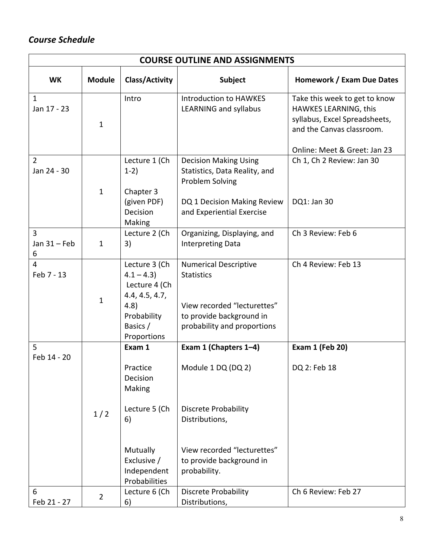# *Course Schedule*

|                               | <b>COURSE OUTLINE AND ASSIGNMENTS</b> |                                                                                                                            |                                                                                                                                                                         |                                                                                                                                                      |  |  |
|-------------------------------|---------------------------------------|----------------------------------------------------------------------------------------------------------------------------|-------------------------------------------------------------------------------------------------------------------------------------------------------------------------|------------------------------------------------------------------------------------------------------------------------------------------------------|--|--|
| <b>WK</b>                     | <b>Module</b>                         | <b>Class/Activity</b>                                                                                                      | <b>Subject</b>                                                                                                                                                          | Homework / Exam Due Dates                                                                                                                            |  |  |
| $\mathbf{1}$<br>Jan 17 - 23   | $\mathbf{1}$                          | Intro                                                                                                                      | <b>Introduction to HAWKES</b><br><b>LEARNING and syllabus</b>                                                                                                           | Take this week to get to know<br>HAWKES LEARNING, this<br>syllabus, Excel Spreadsheets,<br>and the Canvas classroom.<br>Online: Meet & Greet: Jan 23 |  |  |
| $\overline{2}$<br>Jan 24 - 30 | $\mathbf{1}$                          | Lecture 1 (Ch<br>$1-2)$<br>Chapter 3<br>(given PDF)<br>Decision<br>Making                                                  | <b>Decision Making Using</b><br>Statistics, Data Reality, and<br>Problem Solving<br>DQ 1 Decision Making Review<br>and Experiential Exercise                            | Ch 1, Ch 2 Review: Jan 30<br>DQ1: Jan 30                                                                                                             |  |  |
| 3<br>Jan $31$ – Feb<br>6      | $\mathbf{1}$                          | Lecture 2 (Ch<br>3)                                                                                                        | Organizing, Displaying, and<br><b>Interpreting Data</b>                                                                                                                 | Ch 3 Review: Feb 6                                                                                                                                   |  |  |
| $\overline{4}$<br>Feb 7 - 13  | $\mathbf{1}$                          | Lecture 3 (Ch<br>$4.1 - 4.3$<br>Lecture 4 (Ch<br>4.4, 4.5, 4.7,<br>4.8)<br>Probability<br>Basics /<br>Proportions          | <b>Numerical Descriptive</b><br><b>Statistics</b><br>View recorded "lecturettes"<br>to provide background in<br>probability and proportions                             | Ch 4 Review: Feb 13                                                                                                                                  |  |  |
| 5<br>Feb 14 - 20              | 1/2                                   | Exam 1<br>Practice<br>Decision<br>Making<br>Lecture 5 (Ch<br>6)<br>Mutually<br>Exclusive /<br>Independent<br>Probabilities | Exam 1 (Chapters 1-4)<br>Module 1 DQ (DQ 2)<br><b>Discrete Probability</b><br>Distributions,<br>View recorded "lecturettes"<br>to provide background in<br>probability. | <b>Exam 1 (Feb 20)</b><br>DQ 2: Feb 18                                                                                                               |  |  |
| 6<br>Feb 21 - 27              | 2                                     | Lecture 6 (Ch<br>6)                                                                                                        | Discrete Probability<br>Distributions,                                                                                                                                  | Ch 6 Review: Feb 27                                                                                                                                  |  |  |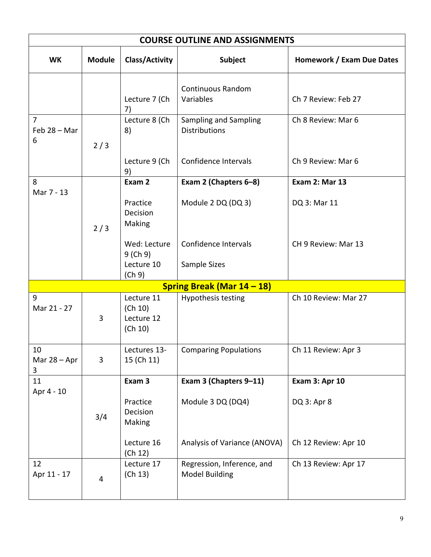| <b>COURSE OUTLINE AND ASSIGNMENTS</b> |                                                |                                                     |                            |  |  |
|---------------------------------------|------------------------------------------------|-----------------------------------------------------|----------------------------|--|--|
| <b>Module</b>                         | <b>Class/Activity</b>                          | Subject                                             | Homework / Exam Due Dates  |  |  |
|                                       | Lecture 7 (Ch<br>7)                            | <b>Continuous Random</b><br>Variables               | Ch 7 Review: Feb 27        |  |  |
| 2/3                                   | Lecture 8 (Ch<br>8)                            | Sampling and Sampling<br><b>Distributions</b>       | Ch 8 Review: Mar 6         |  |  |
|                                       | Lecture 9 (Ch<br>9)                            | Confidence Intervals                                | Ch 9 Review: Mar 6         |  |  |
|                                       | Exam 2                                         | Exam 2 (Chapters 6-8)                               | <b>Exam 2: Mar 13</b>      |  |  |
| 2/3                                   | Practice<br>Decision<br>Making                 | Module 2 DQ (DQ 3)                                  | DQ 3: Mar 11               |  |  |
|                                       | Wed: Lecture<br>9(Ch 9)<br>Lecture 10          | Confidence Intervals<br>Sample Sizes                | CH 9 Review: Mar 13        |  |  |
|                                       |                                                |                                                     |                            |  |  |
| 3                                     | Lecture 11<br>(Ch 10)<br>Lecture 12<br>(Ch 10) | Hypothesis testing                                  | Ch 10 Review: Mar 27       |  |  |
| 3                                     | Lectures 13-<br>15 (Ch 11)                     | <b>Comparing Populations</b>                        | Ch 11 Review: Apr 3        |  |  |
|                                       | Exam 3                                         | Exam 3 (Chapters 9-11)                              | <b>Exam 3: Apr 10</b>      |  |  |
| 3/4                                   | Practice<br>Decision<br>Making                 | Module 3 DQ (DQ4)                                   | DQ 3: Apr 8                |  |  |
|                                       | Lecture 16<br>(Ch 12)                          | Analysis of Variance (ANOVA)                        | Ch 12 Review: Apr 10       |  |  |
| $\overline{\mathbf{4}}$               | Lecture 17<br>(Ch 13)                          | Regression, Inference, and<br><b>Model Building</b> | Ch 13 Review: Apr 17       |  |  |
|                                       |                                                | (Ch 9)                                              | Spring Break (Mar 14 – 18) |  |  |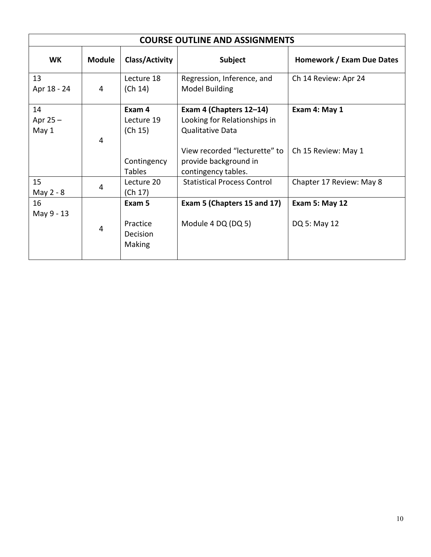| <b>COURSE OUTLINE AND ASSIGNMENTS</b> |                |                                          |                                                                                    |                                       |  |  |
|---------------------------------------|----------------|------------------------------------------|------------------------------------------------------------------------------------|---------------------------------------|--|--|
| <b>WK</b>                             | <b>Module</b>  | Class/Activity                           | Subject                                                                            | Homework / Exam Due Dates             |  |  |
| 13<br>Apr 18 - 24                     | 4              | Lecture 18<br>(Ch 14)                    | Regression, Inference, and<br>Model Building                                       | Ch 14 Review: Apr 24                  |  |  |
| 14<br>Apr $25 -$<br>May 1             | 4              | Exam 4<br>Lecture 19<br>(Ch 15)          | Exam 4 (Chapters 12-14)<br>Looking for Relationships in<br><b>Qualitative Data</b> | Exam 4: May 1                         |  |  |
|                                       |                | Contingency<br><b>Tables</b>             | View recorded "lecturette" to<br>provide background in<br>contingency tables.      | Ch 15 Review: May 1                   |  |  |
| 15<br>May 2 - 8                       | 4              | Lecture 20<br>(Ch 17)                    | <b>Statistical Process Control</b>                                                 | Chapter 17 Review: May 8              |  |  |
| 16<br>May 9 - 13                      | $\overline{4}$ | Exam 5<br>Practice<br>Decision<br>Making | Exam 5 (Chapters 15 and 17)<br>Module 4 DQ (DQ 5)                                  | <b>Exam 5: May 12</b><br>DQ 5: May 12 |  |  |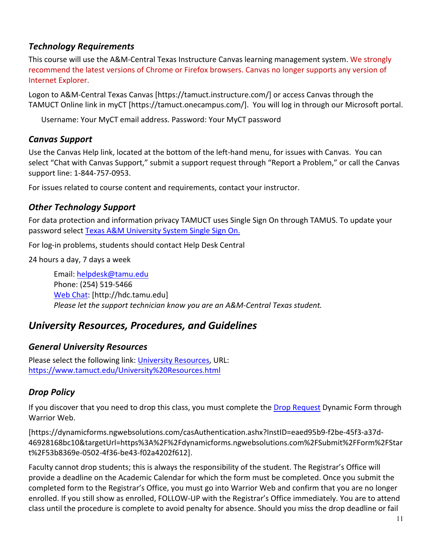### *Technology Requirements*

This course will use the A&M-Central Texas Instructure Canvas learning management system. We strongly recommend the latest versions of Chrome or Firefox browsers. Canvas no longer supports any version of Internet Explorer.

Logon to A&M-Central Texas Canvas [https://tamuct.instructure.com/] or access Canvas through the TAMUCT Online link in myCT [https://tamuct.onecampus.com/]. You will log in through our Microsoft portal.

Username: Your MyCT email address. Password: Your MyCT password

#### *Canvas Support*

Use the Canvas Help link, located at the bottom of the left-hand menu, for issues with Canvas. You can select "Chat with Canvas Support," submit a support request through "Report a Problem," or call the Canvas support line: 1-844-757-0953.

For issues related to course content and requirements, contact your instructor.

### *Other Technology Support*

For data protection and information privacy TAMUCT uses Single Sign On through TAMUS. To update your password select Texas A&M University System Single Sign On.

For log-in problems, students should contact Help Desk Central

24 hours a day, 7 days a week

Email: helpdesk@tamu.edu Phone: (254) 519-5466 Web Chat: [http://hdc.tamu.edu] *Please let the support technician know you are an A&M-Central Texas student.*

# *University Resources, Procedures, and Guidelines*

#### *General University Resources*

Please select the following link: University Resources, URL: https://www.tamuct.edu/University%20Resources.html

### *Drop Policy*

If you discover that you need to drop this class, you must complete the Drop Request Dynamic Form through Warrior Web.

[https://dynamicforms.ngwebsolutions.com/casAuthentication.ashx?InstID=eaed95b9-f2be-45f3-a37d-46928168bc10&targetUrl=https%3A%2F%2Fdynamicforms.ngwebsolutions.com%2FSubmit%2FForm%2FStar t%2F53b8369e-0502-4f36-be43-f02a4202f612].

Faculty cannot drop students; this is always the responsibility of the student. The Registrar's Office will provide a deadline on the Academic Calendar for which the form must be completed. Once you submit the completed form to the Registrar's Office, you must go into Warrior Web and confirm that you are no longer enrolled. If you still show as enrolled, FOLLOW-UP with the Registrar's Office immediately. You are to attend class until the procedure is complete to avoid penalty for absence. Should you miss the drop deadline or fail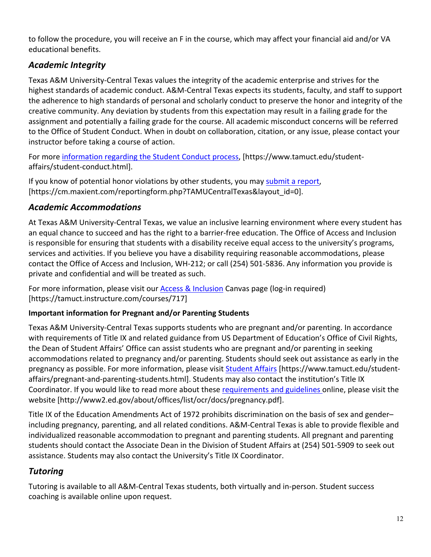to follow the procedure, you will receive an F in the course, which may affect your financial aid and/or VA educational benefits.

# *Academic Integrity*

Texas A&M University-Central Texas values the integrity of the academic enterprise and strives for the highest standards of academic conduct. A&M-Central Texas expects its students, faculty, and staff to support the adherence to high standards of personal and scholarly conduct to preserve the honor and integrity of the creative community. Any deviation by students from this expectation may result in a failing grade for the assignment and potentially a failing grade for the course. All academic misconduct concerns will be referred to the Office of Student Conduct. When in doubt on collaboration, citation, or any issue, please contact your instructor before taking a course of action.

For more information regarding the Student Conduct process, [https://www.tamuct.edu/studentaffairs/student-conduct.html].

If you know of potential honor violations by other students, you may submit a report, [https://cm.maxient.com/reportingform.php?TAMUCentralTexas&layout\_id=0].

### *Academic Accommodations*

At Texas A&M University-Central Texas, we value an inclusive learning environment where every student has an equal chance to succeed and has the right to a barrier-free education. The Office of Access and Inclusion is responsible for ensuring that students with a disability receive equal access to the university's programs, services and activities. If you believe you have a disability requiring reasonable accommodations, please contact the Office of Access and Inclusion, WH-212; or call (254) 501-5836. Any information you provide is private and confidential and will be treated as such.

For more information, please visit our Access & Inclusion Canvas page (log-in required) [https://tamuct.instructure.com/courses/717]

### **Important information for Pregnant and/or Parenting Students**

Texas A&M University-Central Texas supports students who are pregnant and/or parenting. In accordance with requirements of Title IX and related guidance from US Department of Education's Office of Civil Rights, the Dean of Student Affairs' Office can assist students who are pregnant and/or parenting in seeking accommodations related to pregnancy and/or parenting. Students should seek out assistance as early in the pregnancy as possible. For more information, please visit Student Affairs [https://www.tamuct.edu/studentaffairs/pregnant-and-parenting-students.html]. Students may also contact the institution's Title IX Coordinator. If you would like to read more about these requirements and guidelines online, please visit the website [http://www2.ed.gov/about/offices/list/ocr/docs/pregnancy.pdf].

Title IX of the Education Amendments Act of 1972 prohibits discrimination on the basis of sex and gender– including pregnancy, parenting, and all related conditions. A&M-Central Texas is able to provide flexible and individualized reasonable accommodation to pregnant and parenting students. All pregnant and parenting students should contact the Associate Dean in the Division of Student Affairs at (254) 501-5909 to seek out assistance. Students may also contact the University's Title IX Coordinator.

# *Tutoring*

Tutoring is available to all A&M-Central Texas students, both virtually and in-person. Student success coaching is available online upon request.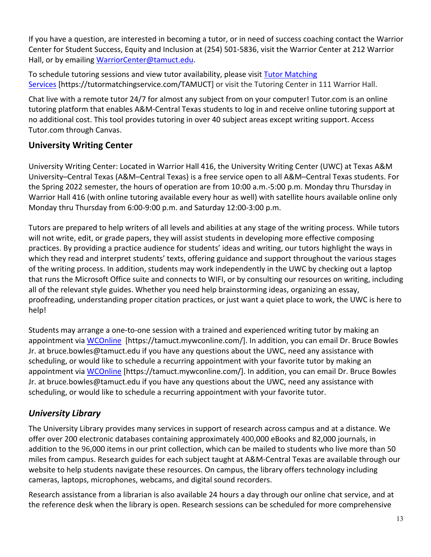If you have a question, are interested in becoming a tutor, or in need of success coaching contact the Warrior Center for Student Success, Equity and Inclusion at (254) 501-5836, visit the Warrior Center at 212 Warrior Hall, or by emailing WarriorCenter@tamuct.edu.

To schedule tutoring sessions and view tutor availability, please visit Tutor Matching Services [https://tutormatchingservice.com/TAMUCT] or visit the Tutoring Center in 111 Warrior Hall.

Chat live with a remote tutor 24/7 for almost any subject from on your computer! Tutor.com is an online tutoring platform that enables A&M-Central Texas students to log in and receive online tutoring support at no additional cost. This tool provides tutoring in over 40 subject areas except writing support. Access Tutor.com through Canvas.

### **University Writing Center**

University Writing Center: Located in Warrior Hall 416, the University Writing Center (UWC) at Texas A&M University–Central Texas (A&M–Central Texas) is a free service open to all A&M–Central Texas students. For the Spring 2022 semester, the hours of operation are from 10:00 a.m.-5:00 p.m. Monday thru Thursday in Warrior Hall 416 (with online tutoring available every hour as well) with satellite hours available online only Monday thru Thursday from 6:00-9:00 p.m. and Saturday 12:00-3:00 p.m.

Tutors are prepared to help writers of all levels and abilities at any stage of the writing process. While tutors will not write, edit, or grade papers, they will assist students in developing more effective composing practices. By providing a practice audience for students' ideas and writing, our tutors highlight the ways in which they read and interpret students' texts, offering guidance and support throughout the various stages of the writing process. In addition, students may work independently in the UWC by checking out a laptop that runs the Microsoft Office suite and connects to WIFI, or by consulting our resources on writing, including all of the relevant style guides. Whether you need help brainstorming ideas, organizing an essay, proofreading, understanding proper citation practices, or just want a quiet place to work, the UWC is here to help!

Students may arrange a one-to-one session with a trained and experienced writing tutor by making an appointment via WCOnline [https://tamuct.mywconline.com/]. In addition, you can email Dr. Bruce Bowles Jr. at bruce.bowles@tamuct.edu if you have any questions about the UWC, need any assistance with scheduling, or would like to schedule a recurring appointment with your favorite tutor by making an appointment via WCOnline [https://tamuct.mywconline.com/]. In addition, you can email Dr. Bruce Bowles Jr. at bruce.bowles@tamuct.edu if you have any questions about the UWC, need any assistance with scheduling, or would like to schedule a recurring appointment with your favorite tutor.

# *University Library*

The University Library provides many services in support of research across campus and at a distance. We offer over 200 electronic databases containing approximately 400,000 eBooks and 82,000 journals, in addition to the 96,000 items in our print collection, which can be mailed to students who live more than 50 miles from campus. Research guides for each subject taught at A&M-Central Texas are available through our website to help students navigate these resources. On campus, the library offers technology including cameras, laptops, microphones, webcams, and digital sound recorders.

Research assistance from a librarian is also available 24 hours a day through our online chat service, and at the reference desk when the library is open. Research sessions can be scheduled for more comprehensive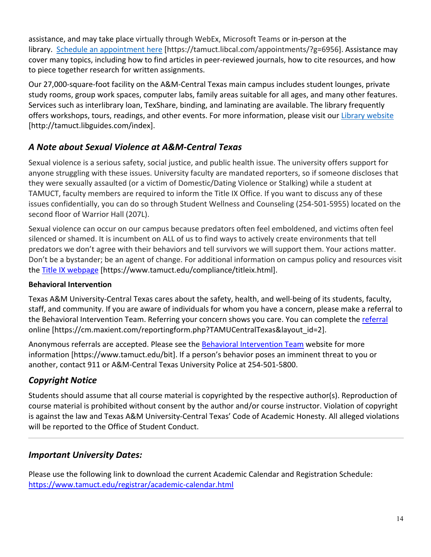assistance, and may take place virtually through WebEx, Microsoft Teams or in-person at the library. Schedule an appointment here [https://tamuct.libcal.com/appointments/?g=6956]. Assistance may cover many topics, including how to find articles in peer-reviewed journals, how to cite resources, and how to piece together research for written assignments.

Our 27,000-square-foot facility on the A&M-Central Texas main campus includes student lounges, private study rooms, group work spaces, computer labs, family areas suitable for all ages, and many other features. Services such as interlibrary loan, TexShare, binding, and laminating are available. The library frequently offers workshops, tours, readings, and other events. For more information, please visit our Library website [http://tamuct.libguides.com/index].

## *A Note about Sexual Violence at A&M-Central Texas*

Sexual violence is a serious safety, social justice, and public health issue. The university offers support for anyone struggling with these issues. University faculty are mandated reporters, so if someone discloses that they were sexually assaulted (or a victim of Domestic/Dating Violence or Stalking) while a student at TAMUCT, faculty members are required to inform the Title IX Office. If you want to discuss any of these issues confidentially, you can do so through Student Wellness and Counseling (254-501-5955) located on the second floor of Warrior Hall (207L).

Sexual violence can occur on our campus because predators often feel emboldened, and victims often feel silenced or shamed. It is incumbent on ALL of us to find ways to actively create environments that tell predators we don't agree with their behaviors and tell survivors we will support them. Your actions matter. Don't be a bystander; be an agent of change. For additional information on campus policy and resources visit the Title IX webpage [https://www.tamuct.edu/compliance/titleix.html].

#### **Behavioral Intervention**

Texas A&M University-Central Texas cares about the safety, health, and well-being of its students, faculty, staff, and community. If you are aware of individuals for whom you have a concern, please make a referral to the Behavioral Intervention Team. Referring your concern shows you care. You can complete the referral online [https://cm.maxient.com/reportingform.php?TAMUCentralTexas&layout\_id=2].

Anonymous referrals are accepted. Please see the Behavioral Intervention Team website for more information [https://www.tamuct.edu/bit]. If a person's behavior poses an imminent threat to you or another, contact 911 or A&M-Central Texas University Police at 254-501-5800.

# *Copyright Notice*

Students should assume that all course material is copyrighted by the respective author(s). Reproduction of course material is prohibited without consent by the author and/or course instructor. Violation of copyright is against the law and Texas A&M University-Central Texas' Code of Academic Honesty. All alleged violations will be reported to the Office of Student Conduct.

# *Important University Dates:*

Please use the following link to download the current Academic Calendar and Registration Schedule: https://www.tamuct.edu/registrar/academic-calendar.html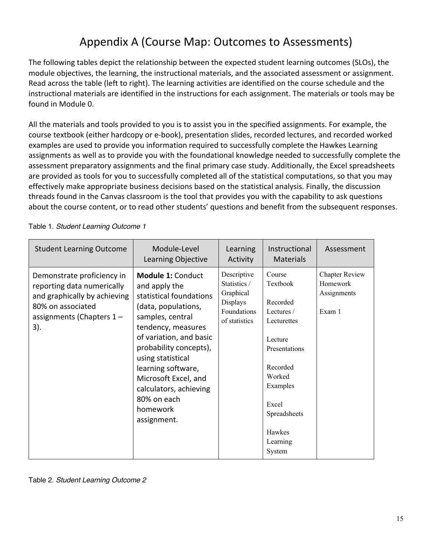# Appendix A (Course Map: Outcomes to Assessments)

The following tables depict the relationship between the expected student learning outcomes (SLOs), the module objectives, the learning, the instructional materials, and the associated assessment or assignment. Read across the table (left to right). The learning activities are identified on the course schedule and the instructional materials are identified in the instructions for each assignment. The materials or tools may be found in Module 0.

All the materials and tools provided to you is to assist you in the specified assignments. For example, the course textbook (either hardcopy or e-book), presentation slides, recorded lectures, and recorded worked examples are used to provide you information required to successfully complete the Hawkes Learning assignments as well as to provide you with the foundational knowledge needed to successfully complete the assessment preparatory assignments and the final primary case study. Additionally, the Excel spreadsheets are provided as tools for you to successfully completed all of the statistical computations, so that you may effectively make appropriate business decisions based on the statistical analysis. Finally, the discussion threads found in the Canvas classroom is the tool that provides you with the capability to ask questions about the course content, or to read other students' questions and benefit from the subsequent responses.

| <b>Student Learning Outcome</b>                                                                                                                  | Module-Level<br>Learning Objective                                                                                                                                                                                                                                                                                                | Learning<br>Activity                                                                 | Instructional<br><b>Materials</b>                                                                                                                                                  | Assessment                                                 |
|--------------------------------------------------------------------------------------------------------------------------------------------------|-----------------------------------------------------------------------------------------------------------------------------------------------------------------------------------------------------------------------------------------------------------------------------------------------------------------------------------|--------------------------------------------------------------------------------------|------------------------------------------------------------------------------------------------------------------------------------------------------------------------------------|------------------------------------------------------------|
| Demonstrate proficiency in<br>reporting data numerically<br>and graphically by achieving<br>80% on associated<br>assignments (Chapters 1-<br>3). | <b>Module 1: Conduct</b><br>and apply the<br>statistical foundations<br>(data, populations,<br>samples, central<br>tendency, measures<br>of variation, and basic<br>probability concepts),<br>using statistical<br>learning software,<br>Microsoft Excel, and<br>calculators, achieving<br>80% on each<br>homework<br>assignment. | Descriptive<br>Statistics /<br>Graphical<br>Displays<br>Foundations<br>of statistics | Course<br>Textbook<br>Recorded<br>Lectures /<br>Lecturettes<br>Lecture<br>Presentations<br>Recorded<br>Worked<br>Examples<br>Excel<br>Spreadsheets<br>Hawkes<br>Learning<br>System | <b>Chapter Review</b><br>Homework<br>Assignments<br>Exam 1 |

Table 1. *Student Learning Outcome 1*

Table 2. *Student Learning Outcome 2*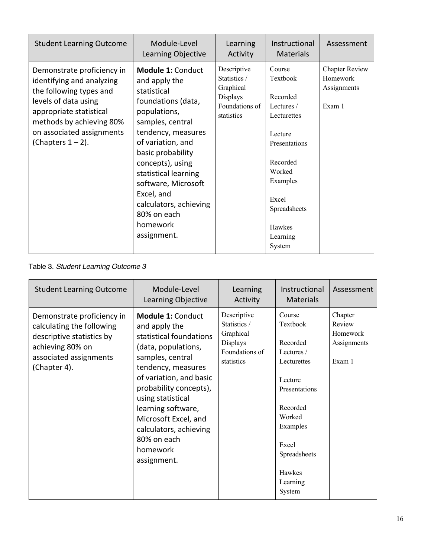| <b>Student Learning Outcome</b>                                                                                                                                                                                        | Module-Level<br>Learning Objective                                                                                                                                                                                                                                                                                                      | Learning<br>Activity                                                                 | Instructional<br><b>Materials</b>                                                                                                                                                         | Assessment                                                 |
|------------------------------------------------------------------------------------------------------------------------------------------------------------------------------------------------------------------------|-----------------------------------------------------------------------------------------------------------------------------------------------------------------------------------------------------------------------------------------------------------------------------------------------------------------------------------------|--------------------------------------------------------------------------------------|-------------------------------------------------------------------------------------------------------------------------------------------------------------------------------------------|------------------------------------------------------------|
| Demonstrate proficiency in<br>identifying and analyzing<br>the following types and<br>levels of data using<br>appropriate statistical<br>methods by achieving 80%<br>on associated assignments<br>(Chapters $1 - 2$ ). | <b>Module 1: Conduct</b><br>and apply the<br>statistical<br>foundations (data,<br>populations,<br>samples, central<br>tendency, measures<br>of variation, and<br>basic probability<br>concepts), using<br>statistical learning<br>software, Microsoft<br>Excel, and<br>calculators, achieving<br>80% on each<br>homework<br>assignment. | Descriptive<br>Statistics /<br>Graphical<br>Displays<br>Foundations of<br>statistics | Course<br><b>Textbook</b><br>Recorded<br>Lectures /<br>Lecturettes<br>Lecture<br>Presentations<br>Recorded<br>Worked<br>Examples<br>Excel<br>Spreadsheets<br>Hawkes<br>Learning<br>System | <b>Chapter Review</b><br>Homework<br>Assignments<br>Exam 1 |

#### Table 3. *Student Learning Outcome 3*

| <b>Student Learning Outcome</b>                                                                                                                    | Module-Level<br>Learning Objective                                                                                                                                                                                                                                                                                                | Learning<br>Activity                                                                 | Instructional<br><b>Materials</b>                                                                                                                                                         | Assessment                                             |
|----------------------------------------------------------------------------------------------------------------------------------------------------|-----------------------------------------------------------------------------------------------------------------------------------------------------------------------------------------------------------------------------------------------------------------------------------------------------------------------------------|--------------------------------------------------------------------------------------|-------------------------------------------------------------------------------------------------------------------------------------------------------------------------------------------|--------------------------------------------------------|
| Demonstrate proficiency in<br>calculating the following<br>descriptive statistics by<br>achieving 80% on<br>associated assignments<br>(Chapter 4). | <b>Module 1: Conduct</b><br>and apply the<br>statistical foundations<br>(data, populations,<br>samples, central<br>tendency, measures<br>of variation, and basic<br>probability concepts),<br>using statistical<br>learning software,<br>Microsoft Excel, and<br>calculators, achieving<br>80% on each<br>homework<br>assignment. | Descriptive<br>Statistics /<br>Graphical<br>Displays<br>Foundations of<br>statistics | Course<br>Textbook<br>Recorded<br>Lectures /<br>Lecturettes<br>Lecture<br>Presentations<br>Recorded<br>Worked<br>Examples<br>Excel<br>Spreadsheets<br><b>Hawkes</b><br>Learning<br>System | Chapter<br>Review<br>Homework<br>Assignments<br>Exam 1 |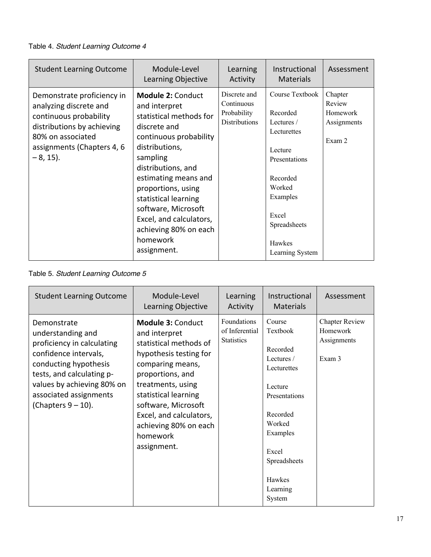#### Table 4. *Student Learning Outcome 4*

| <b>Student Learning Outcome</b>                                                                                                                                                | Module-Level<br>Learning Objective                                                                                                                                                                                                                                                                                                             | Learning<br>Activity                                              | Instructional<br><b>Materials</b>                                                                                                                                            | Assessment                                             |
|--------------------------------------------------------------------------------------------------------------------------------------------------------------------------------|------------------------------------------------------------------------------------------------------------------------------------------------------------------------------------------------------------------------------------------------------------------------------------------------------------------------------------------------|-------------------------------------------------------------------|------------------------------------------------------------------------------------------------------------------------------------------------------------------------------|--------------------------------------------------------|
| Demonstrate proficiency in<br>analyzing discrete and<br>continuous probability<br>distributions by achieving<br>80% on associated<br>assignments (Chapters 4, 6<br>$-8, 15$ ). | <b>Module 2: Conduct</b><br>and interpret<br>statistical methods for<br>discrete and<br>continuous probability<br>distributions,<br>sampling<br>distributions, and<br>estimating means and<br>proportions, using<br>statistical learning<br>software, Microsoft<br>Excel, and calculators,<br>achieving 80% on each<br>homework<br>assignment. | Discrete and<br>Continuous<br>Probability<br><b>Distributions</b> | Course Textbook<br>Recorded<br>Lectures /<br>Lecturettes<br>Lecture<br>Presentations<br>Recorded<br>Worked<br>Examples<br>Excel<br>Spreadsheets<br>Hawkes<br>Learning System | Chapter<br>Review<br>Homework<br>Assignments<br>Exam 2 |

#### Table 5. *Student Learning Outcome 5*

| <b>Student Learning Outcome</b>                                                                                                                                                                                                | Module-Level<br>Learning Objective                                                                                                                                                                                                                                                       | Learning<br>Activity                               | Instructional<br><b>Materials</b>                                                                                                                                                  | Assessment                                                 |
|--------------------------------------------------------------------------------------------------------------------------------------------------------------------------------------------------------------------------------|------------------------------------------------------------------------------------------------------------------------------------------------------------------------------------------------------------------------------------------------------------------------------------------|----------------------------------------------------|------------------------------------------------------------------------------------------------------------------------------------------------------------------------------------|------------------------------------------------------------|
| Demonstrate<br>understanding and<br>proficiency in calculating<br>confidence intervals,<br>conducting hypothesis<br>tests, and calculating p-<br>values by achieving 80% on<br>associated assignments<br>(Chapters $9 - 10$ ). | <b>Module 3: Conduct</b><br>and interpret<br>statistical methods of<br>hypothesis testing for<br>comparing means,<br>proportions, and<br>treatments, using<br>statistical learning<br>software, Microsoft<br>Excel, and calculators,<br>achieving 80% on each<br>homework<br>assignment. | Foundations<br>of Inferential<br><b>Statistics</b> | Course<br>Textbook<br>Recorded<br>Lectures /<br>Lecturettes<br>Lecture<br>Presentations<br>Recorded<br>Worked<br>Examples<br>Excel<br>Spreadsheets<br>Hawkes<br>Learning<br>System | <b>Chapter Review</b><br>Homework<br>Assignments<br>Exam 3 |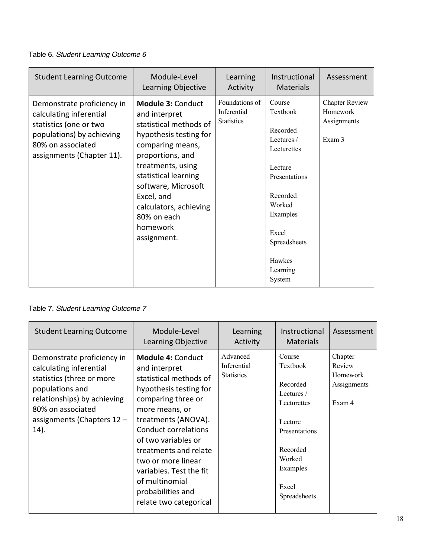Table 6. *Student Learning Outcome 6*

| <b>Student Learning Outcome</b>                                                                                                                                | Module-Level<br>Learning Objective                                                                                                                                                                                                                                                          | Learning<br>Activity                               | Instructional<br><b>Materials</b>                                                                                                                                                  | Assessment                                                 |
|----------------------------------------------------------------------------------------------------------------------------------------------------------------|---------------------------------------------------------------------------------------------------------------------------------------------------------------------------------------------------------------------------------------------------------------------------------------------|----------------------------------------------------|------------------------------------------------------------------------------------------------------------------------------------------------------------------------------------|------------------------------------------------------------|
| Demonstrate proficiency in<br>calculating inferential<br>statistics (one or two<br>populations) by achieving<br>80% on associated<br>assignments (Chapter 11). | <b>Module 3: Conduct</b><br>and interpret<br>statistical methods of<br>hypothesis testing for<br>comparing means,<br>proportions, and<br>treatments, using<br>statistical learning<br>software, Microsoft<br>Excel, and<br>calculators, achieving<br>80% on each<br>homework<br>assignment. | Foundations of<br>Inferential<br><b>Statistics</b> | Course<br>Textbook<br>Recorded<br>Lectures /<br>Lecturettes<br>Lecture<br>Presentations<br>Recorded<br>Worked<br>Examples<br>Excel<br>Spreadsheets<br>Hawkes<br>Learning<br>System | <b>Chapter Review</b><br>Homework<br>Assignments<br>Exam 3 |

Table 7. *Student Learning Outcome 7*

| <b>Student Learning Outcome</b>                                                                                                                                                                   | Module-Level<br>Learning Objective                                                                                                                                                                                                                                                                                                                            | Learning<br>Activity                         | Instructional<br><b>Materials</b>                                                                                                                    | Assessment                                             |
|---------------------------------------------------------------------------------------------------------------------------------------------------------------------------------------------------|---------------------------------------------------------------------------------------------------------------------------------------------------------------------------------------------------------------------------------------------------------------------------------------------------------------------------------------------------------------|----------------------------------------------|------------------------------------------------------------------------------------------------------------------------------------------------------|--------------------------------------------------------|
| Demonstrate proficiency in<br>calculating inferential<br>statistics (three or more<br>populations and<br>relationships) by achieving<br>80% on associated<br>assignments (Chapters $12 -$<br>14). | <b>Module 4: Conduct</b><br>and interpret<br>statistical methods of<br>hypothesis testing for<br>comparing three or<br>more means, or<br>treatments (ANOVA).<br><b>Conduct correlations</b><br>of two variables or<br>treatments and relate<br>two or more linear<br>variables. Test the fit<br>of multinomial<br>probabilities and<br>relate two categorical | Advanced<br>Inferential<br><b>Statistics</b> | Course<br>Textbook<br>Recorded<br>Lectures $/$<br>Lecturettes<br>Lecture<br>Presentations<br>Recorded<br>Worked<br>Examples<br>Excel<br>Spreadsheets | Chapter<br>Review<br>Homework<br>Assignments<br>Exam 4 |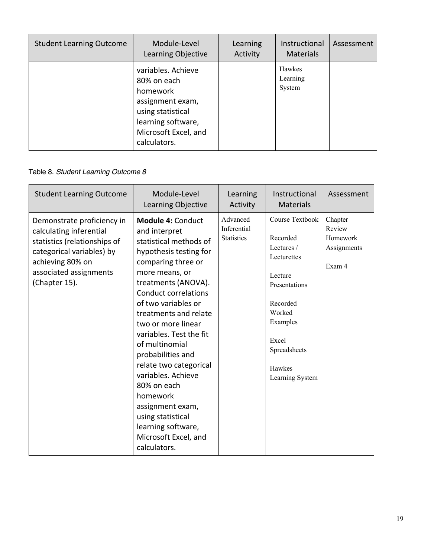| <b>Student Learning Outcome</b> | Module-Level<br>Learning Objective                                                                                                                   | Learning<br>Activity | Instructional<br><b>Materials</b> | Assessment |
|---------------------------------|------------------------------------------------------------------------------------------------------------------------------------------------------|----------------------|-----------------------------------|------------|
|                                 | variables. Achieve<br>80% on each<br>homework<br>assignment exam,<br>using statistical<br>learning software,<br>Microsoft Excel, and<br>calculators. |                      | Hawkes<br>Learning<br>System      |            |

#### Table 8. *Student Learning Outcome 8*

| <b>Student Learning Outcome</b>                                                                                                                                                   | Module-Level<br>Learning Objective                                                                                                                                                                                                                                                                                                                                                                                                                                                                                    | Learning<br>Activity                         | Instructional<br><b>Materials</b>                                                                                                                                            | Assessment                                             |
|-----------------------------------------------------------------------------------------------------------------------------------------------------------------------------------|-----------------------------------------------------------------------------------------------------------------------------------------------------------------------------------------------------------------------------------------------------------------------------------------------------------------------------------------------------------------------------------------------------------------------------------------------------------------------------------------------------------------------|----------------------------------------------|------------------------------------------------------------------------------------------------------------------------------------------------------------------------------|--------------------------------------------------------|
| Demonstrate proficiency in<br>calculating inferential<br>statistics (relationships of<br>categorical variables) by<br>achieving 80% on<br>associated assignments<br>(Chapter 15). | <b>Module 4: Conduct</b><br>and interpret<br>statistical methods of<br>hypothesis testing for<br>comparing three or<br>more means, or<br>treatments (ANOVA).<br><b>Conduct correlations</b><br>of two variables or<br>treatments and relate<br>two or more linear<br>variables. Test the fit<br>of multinomial<br>probabilities and<br>relate two categorical<br>variables. Achieve<br>80% on each<br>homework<br>assignment exam,<br>using statistical<br>learning software,<br>Microsoft Excel, and<br>calculators. | Advanced<br>Inferential<br><b>Statistics</b> | Course Textbook<br>Recorded<br>Lectures /<br>Lecturettes<br>Lecture<br>Presentations<br>Recorded<br>Worked<br>Examples<br>Excel<br>Spreadsheets<br>Hawkes<br>Learning System | Chapter<br>Review<br>Homework<br>Assignments<br>Exam 4 |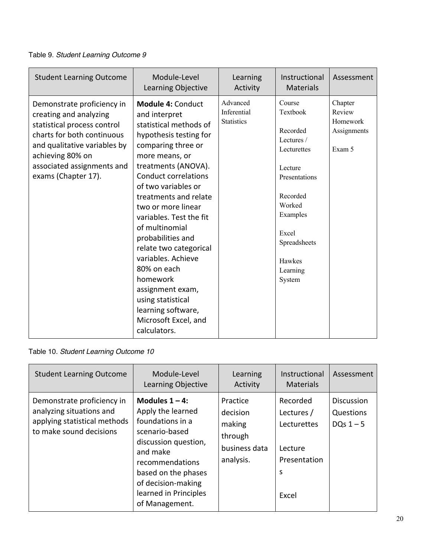#### Table 9. *Student Learning Outcome 9*

| <b>Student Learning Outcome</b>                                                                                                                                                                                            | Module-Level<br>Learning Objective                                                                                                                                                                                                                                                                                                                                                                                                                                                                                    | Learning<br>Activity                         | Instructional<br><b>Materials</b>                                                                                                                                                  | Assessment                                             |
|----------------------------------------------------------------------------------------------------------------------------------------------------------------------------------------------------------------------------|-----------------------------------------------------------------------------------------------------------------------------------------------------------------------------------------------------------------------------------------------------------------------------------------------------------------------------------------------------------------------------------------------------------------------------------------------------------------------------------------------------------------------|----------------------------------------------|------------------------------------------------------------------------------------------------------------------------------------------------------------------------------------|--------------------------------------------------------|
| Demonstrate proficiency in<br>creating and analyzing<br>statistical process control<br>charts for both continuous<br>and qualitative variables by<br>achieving 80% on<br>associated assignments and<br>exams (Chapter 17). | <b>Module 4: Conduct</b><br>and interpret<br>statistical methods of<br>hypothesis testing for<br>comparing three or<br>more means, or<br>treatments (ANOVA).<br><b>Conduct correlations</b><br>of two variables or<br>treatments and relate<br>two or more linear<br>variables. Test the fit<br>of multinomial<br>probabilities and<br>relate two categorical<br>variables. Achieve<br>80% on each<br>homework<br>assignment exam,<br>using statistical<br>learning software,<br>Microsoft Excel, and<br>calculators. | Advanced<br>Inferential<br><b>Statistics</b> | Course<br>Textbook<br>Recorded<br>Lectures /<br>Lecturettes<br>Lecture<br>Presentations<br>Recorded<br>Worked<br>Examples<br>Excel<br>Spreadsheets<br>Hawkes<br>Learning<br>System | Chapter<br>Review<br>Homework<br>Assignments<br>Exam 5 |

# Table 10. *Student Learning Outcome 10*

| <b>Student Learning Outcome</b>                                                                                   | Module-Level<br>Learning Objective                                                                                                                                                                                          | Learning<br>Activity                                                    | Instructional<br><b>Materials</b>                                              | Assessment                                  |
|-------------------------------------------------------------------------------------------------------------------|-----------------------------------------------------------------------------------------------------------------------------------------------------------------------------------------------------------------------------|-------------------------------------------------------------------------|--------------------------------------------------------------------------------|---------------------------------------------|
| Demonstrate proficiency in<br>analyzing situations and<br>applying statistical methods<br>to make sound decisions | Modules $1 - 4$ :<br>Apply the learned<br>foundations in a<br>scenario-based<br>discussion question,<br>and make<br>recommendations<br>based on the phases<br>of decision-making<br>learned in Principles<br>of Management. | Practice<br>decision<br>making<br>through<br>business data<br>analysis. | Recorded<br>Lectures /<br>Lecturettes<br>Lecture<br>Presentation<br>S<br>Excel | <b>Discussion</b><br>Questions<br>DQs $1-5$ |